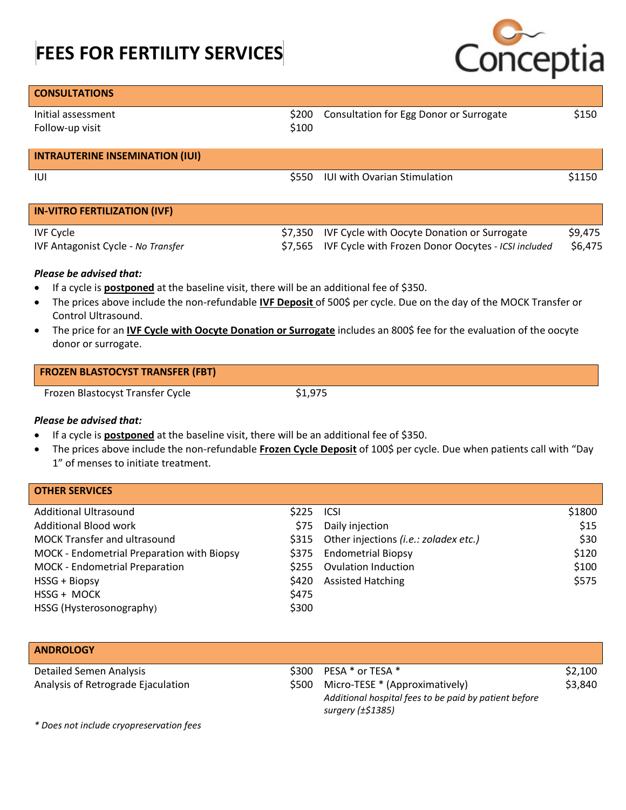# **FEES FOR FERTILITY SERVICES**



| <b>CONSULTATIONS</b>                   |         |                                                     |         |
|----------------------------------------|---------|-----------------------------------------------------|---------|
| Initial assessment                     | \$200   | Consultation for Egg Donor or Surrogate             | \$150   |
| Follow-up visit                        | \$100   |                                                     |         |
| <b>INTRAUTERINE INSEMINATION (IUI)</b> |         |                                                     |         |
| IUI                                    | \$550   | <b>IUI with Ovarian Stimulation</b>                 | \$1150  |
|                                        |         |                                                     |         |
| <b>IN-VITRO FERTILIZATION (IVF)</b>    |         |                                                     |         |
| <b>IVF Cycle</b>                       | \$7,350 | IVF Cycle with Oocyte Donation or Surrogate         | \$9,475 |
| IVF Antagonist Cycle - No Transfer     | \$7.565 | IVF Cycle with Frozen Donor Oocytes - ICSI included | \$6,475 |

### *Please be advised that:*

- If a cycle is **postponed** at the baseline visit, there will be an additional fee of \$350.
- The prices above include the non-refundable **IVF Deposit** of 500\$ per cycle. Due on the day of the MOCK Transfer or Control Ultrasound.
- The price for an **IVF Cycle with Oocyte Donation or Surrogate** includes an 800\$ fee for the evaluation of the oocyte donor or surrogate.

| <b>FROZEN BLASTOCYST TRANSFER (FBT)</b> |  |
|-----------------------------------------|--|
|                                         |  |

Frozen Blastocyst Transfer Cycle  $$1,975$ 

### *Please be advised that:*

- If a cycle is **postponed** at the baseline visit, there will be an additional fee of \$350.
- The prices above include the non-refundable **Frozen Cycle Deposit** of 100\$ per cycle. Due when patients call with "Day 1" of menses to initiate treatment.

| <b>OTHER SERVICES</b>                          |                                                     |
|------------------------------------------------|-----------------------------------------------------|
| <b>Additional Ultrasound</b><br>\$225          | \$1800<br><b>ICSI</b>                               |
| <b>Additional Blood work</b><br>\$75           | \$15<br>Daily injection                             |
| <b>MOCK Transfer and ultrasound</b>            | \$30<br>\$315 Other injections (i.e.: zoladex etc.) |
| MOCK - Endometrial Preparation with Biopsy     | \$120<br>\$375 Endometrial Biopsy                   |
| <b>MOCK - Endometrial Preparation</b><br>\$255 | \$100<br><b>Ovulation Induction</b>                 |
| HSSG + Biopsy<br>\$420                         | \$575<br><b>Assisted Hatching</b>                   |
| HSSG + MOCK<br>\$475                           |                                                     |
| \$300<br>HSSG (Hysterosonography)              |                                                     |

| <b>ANDROLOGY</b>                   |       |                                                                                                              |         |
|------------------------------------|-------|--------------------------------------------------------------------------------------------------------------|---------|
| Detailed Semen Analysis            | \$300 | PESA * or TESA *                                                                                             | \$2,100 |
| Analysis of Retrograde Ejaculation | \$500 | Micro-TESE * (Approximatively)<br>Additional hospital fees to be paid by patient before<br>surgery (±\$1385) | \$3,840 |

*\* Does not include cryopreservation fees*